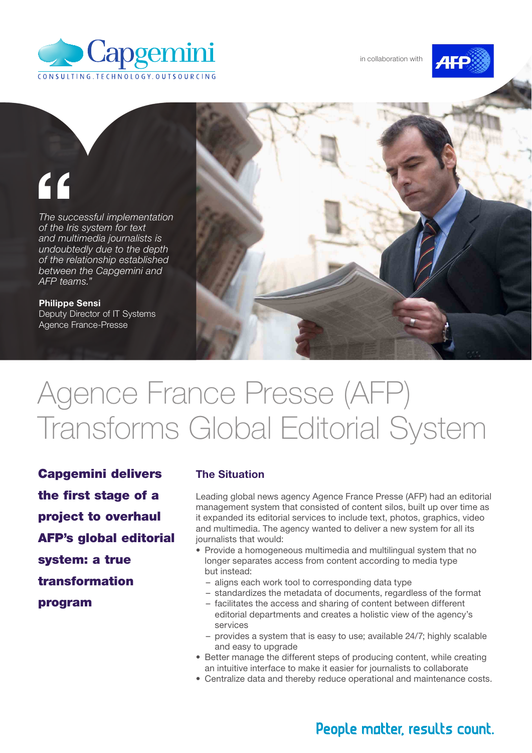



# "

*The successful implementation of the Iris system for text and multimedia journalists is undoubtedly due to the depth of the relationship established between the Capgemini and AFP teams."*

Philippe Sensi Deputy Director of IT Systems Agence France-Presse



## Agence France Presse (AFP) Transforms Global Editorial System

Capgemini delivers the first stage of a project to overhaul AFP's global editorial system: a true transformation program

#### The Situation

Leading global news agency Agence France Presse (AFP) had an editorial management system that consisted of content silos, built up over time as it expanded its editorial services to include text, photos, graphics, video and multimedia. The agency wanted to deliver a new system for all its journalists that would:

- Provide a homogeneous multimedia and multilingual system that no longer separates access from content according to media type but instead:
	- aligns each work tool to corresponding data type
	- standardizes the metadata of documents, regardless of the format
	- facilitates the access and sharing of content between different editorial departments and creates a holistic view of the agency's services
	- provides a system that is easy to use; available 24/7; highly scalable and easy to upgrade
- Better manage the different steps of producing content, while creating an intuitive interface to make it easier for journalists to collaborate
- Centralize data and thereby reduce operational and maintenance costs.

### People matter, results count.